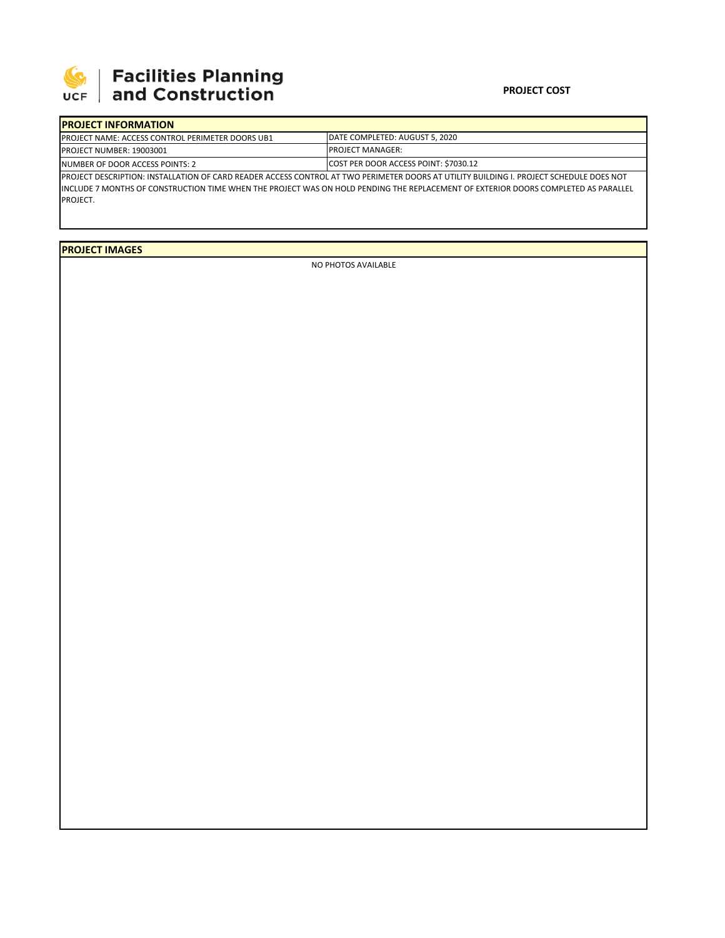

## 

## **PROJECT COST**

| <b>IPROJECT INFORMATION</b>                                                                                                              |                                       |  |  |  |
|------------------------------------------------------------------------------------------------------------------------------------------|---------------------------------------|--|--|--|
| <b>PROJECT NAME: ACCESS CONTROL PERIMETER DOORS UB1</b>                                                                                  | DATE COMPLETED: AUGUST 5, 2020        |  |  |  |
| <b>PROJECT NUMBER: 19003001</b>                                                                                                          | <b>PROJECT MANAGER:</b>               |  |  |  |
| INUMBER OF DOOR ACCESS POINTS: 2                                                                                                         | COST PER DOOR ACCESS POINT: \$7030.12 |  |  |  |
| IPROJECT DESCRIPTION: INSTALLATION OF CARD READER ACCESS CONTROL AT TWO PERIMETER DOORS AT UTILITY BUILDING I. PROJECT SCHEDULE DOES NOT |                                       |  |  |  |
| IINCLUDE 7 MONTHS OF CONSTRUCTION TIME WHEN THE PROJECT WAS ON HOLD PENDING THE REPLACEMENT OF EXTERIOR DOORS COMPLETED AS PARALLEL      |                                       |  |  |  |
| PROJECT.                                                                                                                                 |                                       |  |  |  |

**PROJECT IMAGES**

NO PHOTOS AVAILABLE